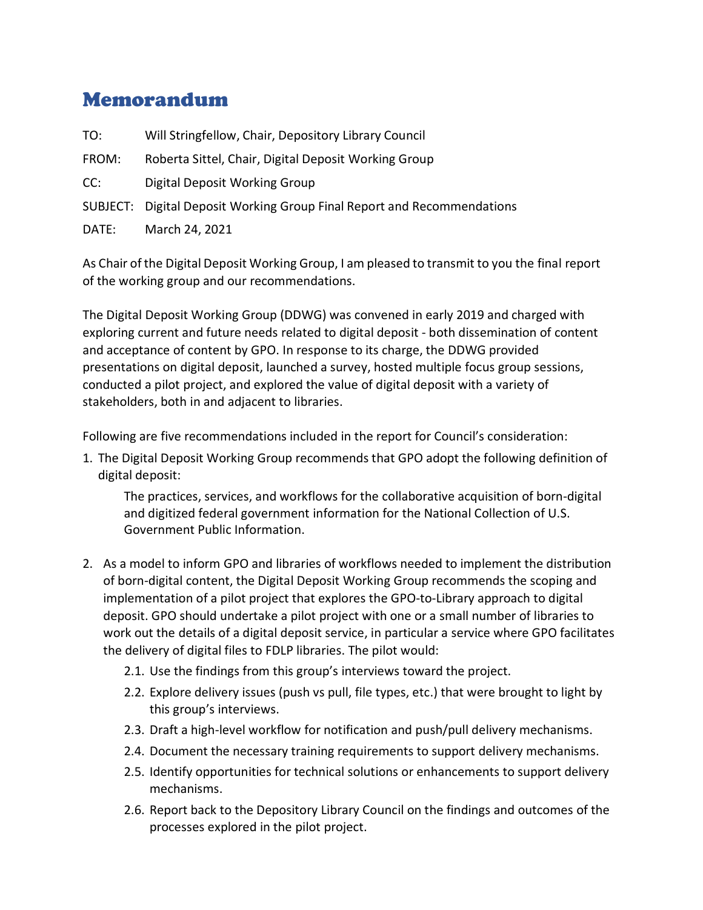## Memorandum

TO: Will Stringfellow, Chair, Depository Library Council

FROM: Roberta Sittel, Chair, Digital Deposit Working Group

CC: Digital Deposit Working Group

SUBJECT: Digital Deposit Working Group Final Report and Recommendations

DATE: March 24, 2021

As Chair of the Digital Deposit Working Group, I am pleased to transmit to you the final report of the working group and our recommendations.

The Digital Deposit Working Group (DDWG) was convened in early 2019 and charged with exploring current and future needs related to digital deposit - both dissemination of content and acceptance of content by GPO. In response to its charge, the DDWG provided presentations on digital deposit, launched a survey, hosted multiple focus group sessions, conducted a pilot project, and explored the value of digital deposit with a variety of stakeholders, both in and adjacent to libraries.

Following are five recommendations included in the report for Council's consideration:

1. The Digital Deposit Working Group recommends that GPO adopt the following definition of digital deposit:

The practices, services, and workflows for the collaborative acquisition of born-digital and digitized federal government information for the National Collection of U.S. Government Public Information.

- 2. As a model to inform GPO and libraries of workflows needed to implement the distribution of born-digital content, the Digital Deposit Working Group recommends the scoping and implementation of a pilot project that explores the GPO-to-Library approach to digital deposit. GPO should undertake a pilot project with one or a small number of libraries to work out the details of a digital deposit service, in particular a service where GPO facilitates the delivery of digital files to FDLP libraries. The pilot would:
	- 2.1. Use the findings from this group's interviews toward the project.
	- 2.2. Explore delivery issues (push vs pull, file types, etc.) that were brought to light by this group's interviews.
	- 2.3. Draft a high-level workflow for notification and push/pull delivery mechanisms.
	- 2.4. Document the necessary training requirements to support delivery mechanisms.
	- 2.5. Identify opportunities for technical solutions or enhancements to support delivery mechanisms.
	- 2.6. Report back to the Depository Library Council on the findings and outcomes of the processes explored in the pilot project.